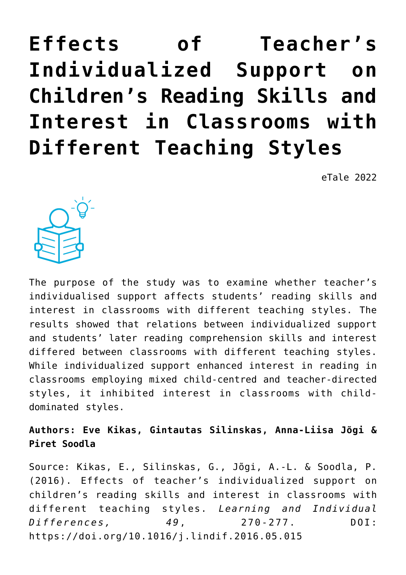# **[Effects of Teacher's](https://dev.taleafrica.com/2021/06/28/effects-of-teachers-individualized-support-on-childrens-reading-skills-and-interest-in-classrooms-with-different-teaching-styles/) [Individualized Support on](https://dev.taleafrica.com/2021/06/28/effects-of-teachers-individualized-support-on-childrens-reading-skills-and-interest-in-classrooms-with-different-teaching-styles/) [Children's Reading Skills and](https://dev.taleafrica.com/2021/06/28/effects-of-teachers-individualized-support-on-childrens-reading-skills-and-interest-in-classrooms-with-different-teaching-styles/) [Interest in Classrooms with](https://dev.taleafrica.com/2021/06/28/effects-of-teachers-individualized-support-on-childrens-reading-skills-and-interest-in-classrooms-with-different-teaching-styles/) [Different Teaching Styles](https://dev.taleafrica.com/2021/06/28/effects-of-teachers-individualized-support-on-childrens-reading-skills-and-interest-in-classrooms-with-different-teaching-styles/)**

eTale 2022



The purpose of the study was to examine whether teacher's individualised support affects students' reading skills and interest in classrooms with different teaching styles. The results showed that relations between individualized support and students' later reading comprehension skills and interest differed between classrooms with different teaching styles. While individualized support enhanced interest in reading in classrooms employing mixed child-centred and teacher-directed styles, it inhibited interest in classrooms with childdominated styles.

**Authors: Eve Kikas, Gintautas Silinskas, Anna-Liisa Jõgi & Piret Soodla**

Source: Kikas, E., Silinskas, G., Jõgi, A.-L. & Soodla, P. (2016). Effects of teacher's individualized support on children's reading skills and interest in classrooms with different teaching styles. *Learning and Individual Differences, 49*, 270-277. DOI: https://doi.org/10.1016/j.lindif.2016.05.015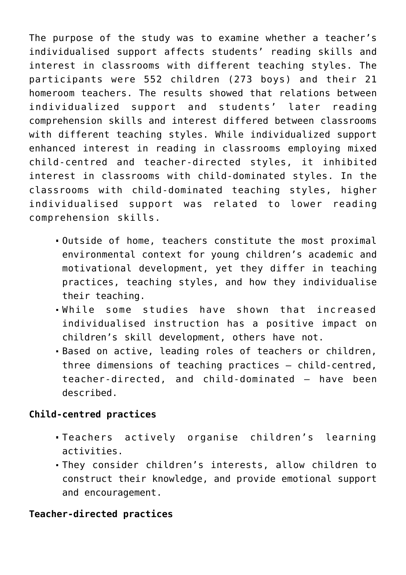The purpose of the study was to examine whether a teacher's individualised support affects students' reading skills and interest in classrooms with different teaching styles. The participants were 552 children (273 boys) and their 21 homeroom teachers. The results showed that relations between individualized support and students' later reading comprehension skills and interest differed between classrooms with different teaching styles. While individualized support enhanced interest in reading in classrooms employing mixed child-centred and teacher-directed styles, it inhibited interest in classrooms with child-dominated styles. In the classrooms with child-dominated teaching styles, higher individualised support was related to lower reading comprehension skills.

- Outside of home, teachers constitute the most proximal environmental context for young children's academic and motivational development, yet they differ in teaching practices, teaching styles, and how they individualise their teaching.
- While some studies have shown that increased individualised instruction has a positive impact on children's skill development, others have not.
- Based on active, leading roles of teachers or children, three dimensions of teaching practices – child-centred, teacher-directed, and child-dominated – have been described.

## **Child-centred practices**

- Teachers actively organise children's learning activities.
- They consider children's interests, allow children to construct their knowledge, and provide emotional support and encouragement.

## **Teacher-directed practices**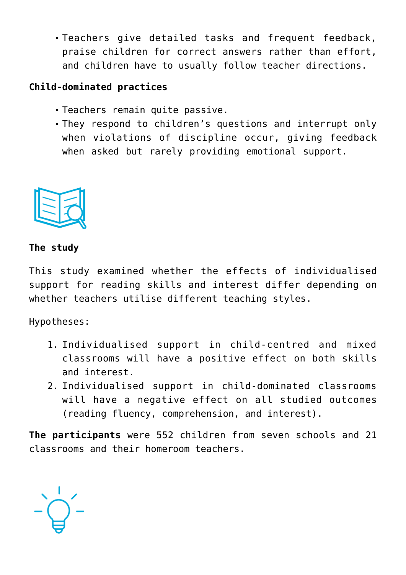Teachers give detailed tasks and frequent feedback, praise children for correct answers rather than effort, and children have to usually follow teacher directions.

## **Child-dominated practices**

- Teachers remain quite passive.
- They respond to children's questions and interrupt only when violations of discipline occur, giving feedback when asked but rarely providing emotional support.



#### **The study**

This study examined whether the effects of individualised support for reading skills and interest differ depending on whether teachers utilise different teaching styles.

Hypotheses:

- 1. Individualised support in child-centred and mixed classrooms will have a positive effect on both skills and interest.
- 2. Individualised support in child-dominated classrooms will have a negative effect on all studied outcomes (reading fluency, comprehension, and interest).

**The participants** were 552 children from seven schools and 21 classrooms and their homeroom teachers.

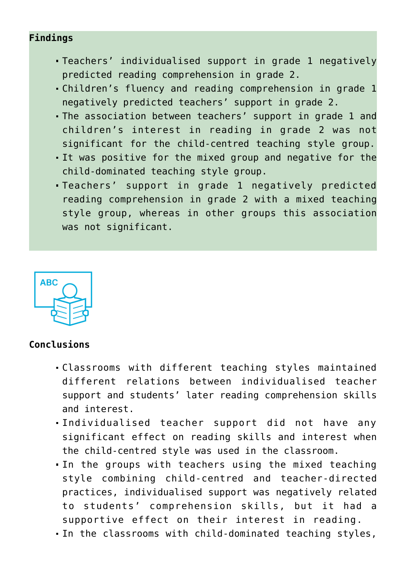## **Findings**

- Teachers' individualised support in grade 1 negatively predicted reading comprehension in grade 2.
- Children's fluency and reading comprehension in grade 1 negatively predicted teachers' support in grade 2.
- The association between teachers' support in grade 1 and children's interest in reading in grade 2 was not significant for the child-centred teaching style group.
- It was positive for the mixed group and negative for the child-dominated teaching style group.
- Teachers' support in grade 1 negatively predicted reading comprehension in grade 2 with a mixed teaching style group, whereas in other groups this association was not significant.



#### **Conclusions**

- Classrooms with different teaching styles maintained different relations between individualised teacher support and students' later reading comprehension skills and interest.
- Individualised teacher support did not have any significant effect on reading skills and interest when the child-centred style was used in the classroom.
- In the groups with teachers using the mixed teaching style combining child-centred and teacher-directed practices, individualised support was negatively related to students' comprehension skills, but it had a supportive effect on their interest in reading.
- In the classrooms with child-dominated teaching styles,